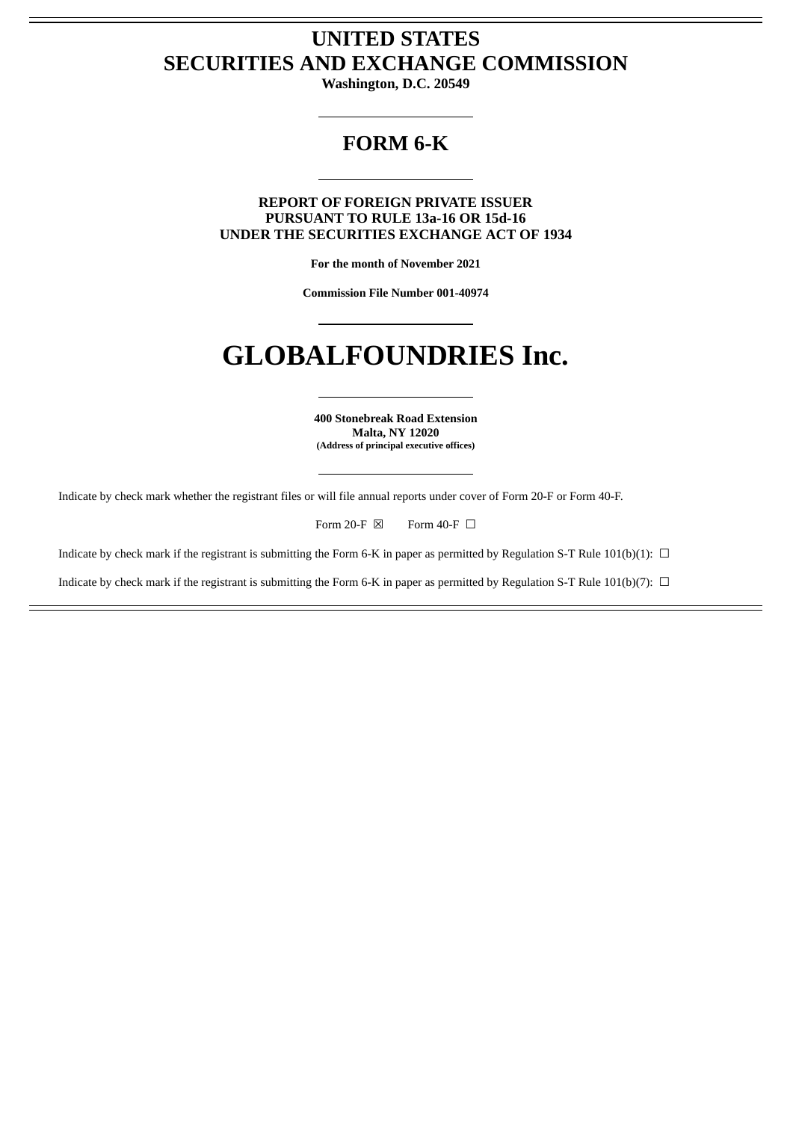# **UNITED STATES SECURITIES AND EXCHANGE COMMISSION**

**Washington, D.C. 20549**

# **FORM 6-K**

**REPORT OF FOREIGN PRIVATE ISSUER PURSUANT TO RULE 13a-16 OR 15d-16 UNDER THE SECURITIES EXCHANGE ACT OF 1934**

**For the month of November 2021**

**Commission File Number 001-40974**

# **GLOBALFOUNDRIES Inc.**

**400 Stonebreak Road Extension Malta, NY 12020 (Address of principal executive offices)**

Indicate by check mark whether the registrant files or will file annual reports under cover of Form 20-F or Form 40-F.

Form 20-F  $\boxtimes$  Form 40-F  $\Box$ 

Indicate by check mark if the registrant is submitting the Form 6-K in paper as permitted by Regulation S-T Rule 101(b)(1):  $\Box$ 

Indicate by check mark if the registrant is submitting the Form 6-K in paper as permitted by Regulation S-T Rule 101(b)(7):  $\Box$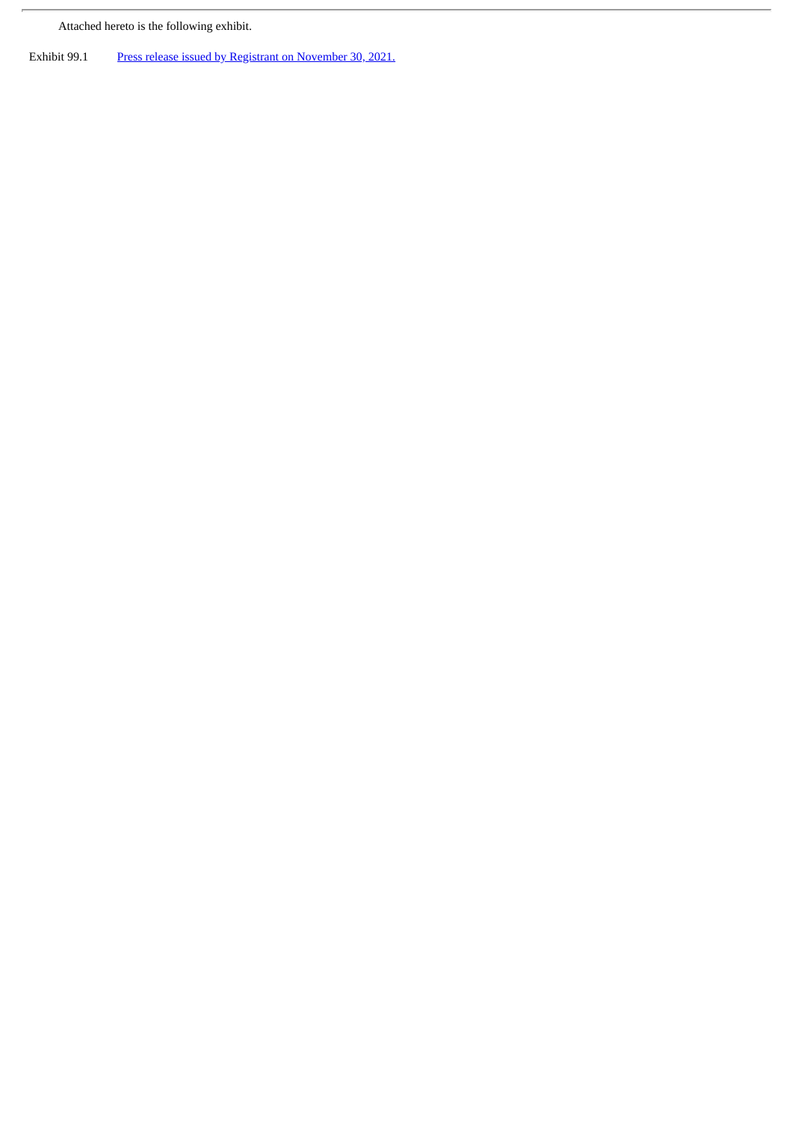Attached hereto is the following exhibit.

 $\overline{r}$ 

Exhibit 99.1 Press release issued by Registrant on [November](#page-3-0) 30, 2021.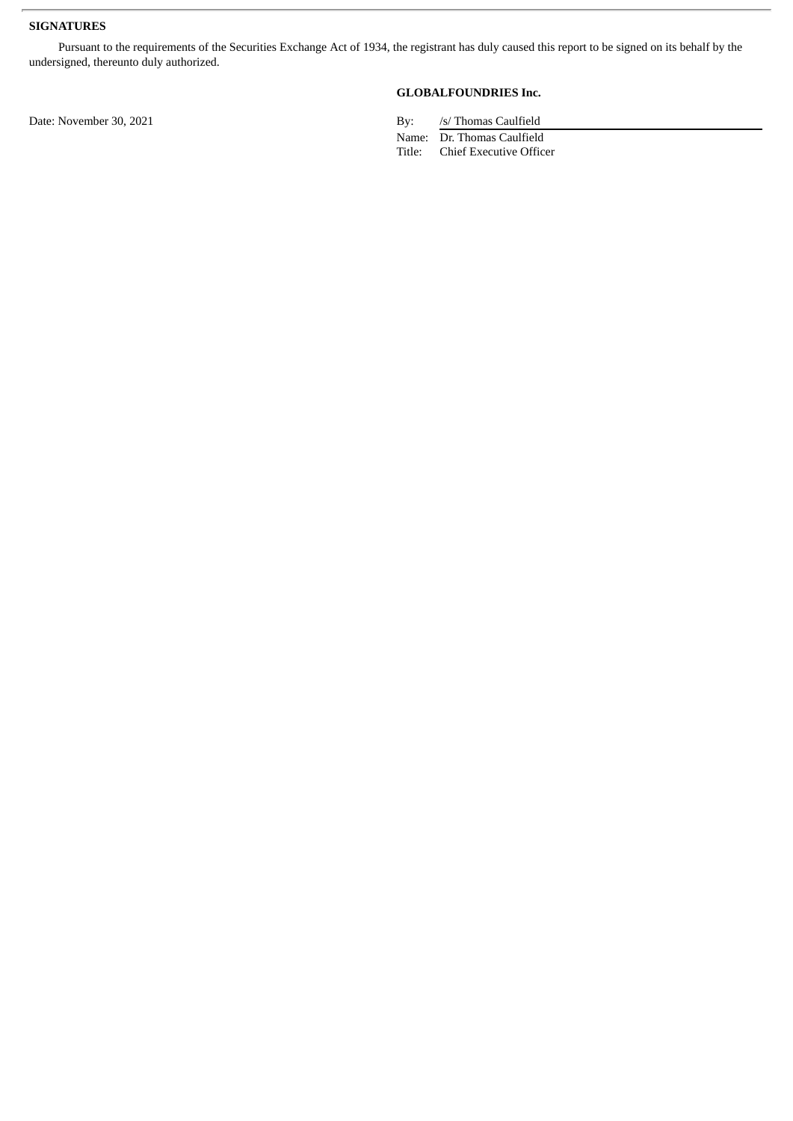#### **SIGNATURES**

Pursuant to the requirements of the Securities Exchange Act of 1934, the registrant has duly caused this report to be signed on its behalf by the undersigned, thereunto duly authorized.

### **GLOBALFOUNDRIES Inc.**

Date: November 30, 2021 By: /s/ Thomas Caulfield

Name: Dr. Thomas Caulfield<br>Title: Chief Executive Offic Chief Executive Officer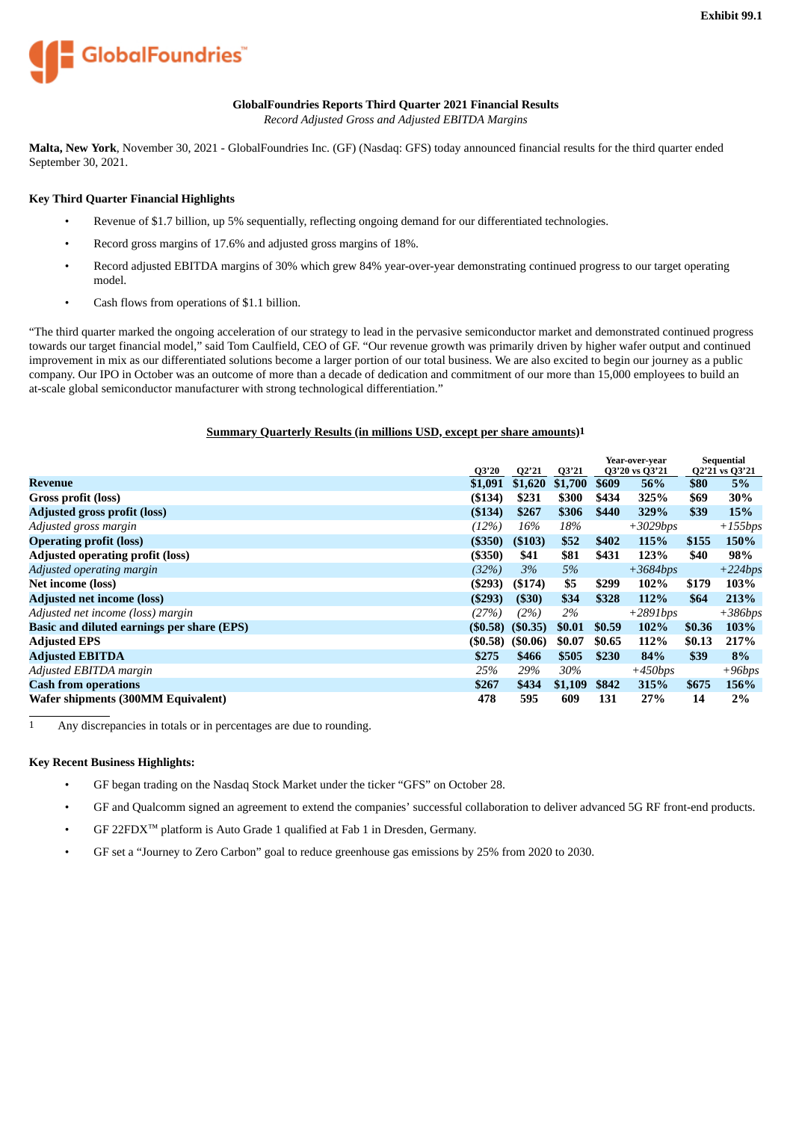<span id="page-3-0"></span>

#### **GlobalFoundries Reports Third Quarter 2021 Financial Results**

*Record Adjusted Gross and Adjusted EBITDA Margins*

**Malta, New York**, November 30, 2021 - GlobalFoundries Inc. (GF) (Nasdaq: GFS) today announced financial results for the third quarter ended September 30, 2021.

#### **Key Third Quarter Financial Highlights**

- Revenue of \$1.7 billion, up 5% sequentially, reflecting ongoing demand for our differentiated technologies.
- Record gross margins of 17.6% and adjusted gross margins of 18%.
- Record adjusted EBITDA margins of 30% which grew 84% year-over-year demonstrating continued progress to our target operating model.
- Cash flows from operations of \$1.1 billion.

"The third quarter marked the ongoing acceleration of our strategy to lead in the pervasive semiconductor market and demonstrated continued progress towards our target financial model," said Tom Caulfield, CEO of GF. "Our revenue growth was primarily driven by higher wafer output and continued improvement in mix as our differentiated solutions become a larger portion of our total business. We are also excited to begin our journey as a public company. Our IPO in October was an outcome of more than a decade of dedication and commitment of our more than 15,000 employees to build an at-scale global semiconductor manufacturer with strong technological differentiation."

#### **Summary Quarterly Results (in millions USD, except per share amounts)1**

|                                            | Q3'20      | Q2'21    | Q3'21   |        | Year-over-year<br>Q3'20 vs Q3'21 |        | <b>Sequential</b><br>Q2'21 vs Q3'21 |
|--------------------------------------------|------------|----------|---------|--------|----------------------------------|--------|-------------------------------------|
| <b>Revenue</b>                             | \$1,091    | \$1,620  | \$1,700 | \$609  | 56%                              | \$80   | 5%                                  |
| Gross profit (loss)                        | ( \$134)   | \$231    | \$300   | \$434  | 325%                             | \$69   | 30%                                 |
| <b>Adjusted gross profit (loss)</b>        | (\$134)    | \$267    | \$306   | \$440  | 329%                             | \$39   | 15%                                 |
| Adjusted gross margin                      | (12%)      | 16%      | 18%     |        | $+3029$ bps                      |        | $+155bps$                           |
| <b>Operating profit (loss)</b>             | (\$350)    | ( \$103) | \$52    | \$402  | 115%                             | \$155  | 150%                                |
| <b>Adjusted operating profit (loss)</b>    | $($ \$350) | \$41     | \$81    | \$431  | 123%                             | \$40   | 98%                                 |
| Adjusted operating margin                  | (32%)      | 3%       | 5%      |        | $+3684bps$                       |        | $+224bps$                           |
| Net income (loss)                          | ( \$293)   | ( \$174) | \$5     | \$299  | 102%                             | \$179  | 103%                                |
| <b>Adjusted net income (loss)</b>          | ( \$293)   | ( \$30)  | \$34    | \$328  | 112%                             | \$64   | 213%                                |
| Adjusted net income (loss) margin          | (27%)      | (2%)     | 2%      |        | $+2891$ bps                      |        | $+386bps$                           |
| Basic and diluted earnings per share (EPS) | (\$0.58)   | (50.35)  | \$0.01  | \$0.59 | 102%                             | \$0.36 | 103%                                |
| <b>Adjusted EPS</b>                        | (\$0.58)   | (50.06)  | \$0.07  | \$0.65 | 112%                             | \$0.13 | 217%                                |
| <b>Adjusted EBITDA</b>                     | \$275      | \$466    | \$505   | \$230  | 84%                              | \$39   | 8%                                  |
| Adjusted EBITDA margin                     | 25%        | 29%      | 30%     |        | $+450$ bps                       |        | $+96bps$                            |
| <b>Cash from operations</b>                | \$267      | \$434    | \$1,109 | \$842  | 315%                             | \$675  | 156%                                |
| Wafer shipments (300MM Equivalent)         | 478        | 595      | 609     | 131    | 27%                              | 14     | 2%                                  |

1 Any discrepancies in totals or in percentages are due to rounding.

#### **Key Recent Business Highlights:**

- GF began trading on the Nasdaq Stock Market under the ticker "GFS" on October 28.
- GF and Qualcomm signed an agreement to extend the companies' successful collaboration to deliver advanced 5G RF front-end products.
- GF 22FDX™ platform is Auto Grade 1 qualified at Fab 1 in Dresden, Germany.
- GF set a "Journey to Zero Carbon" goal to reduce greenhouse gas emissions by 25% from 2020 to 2030.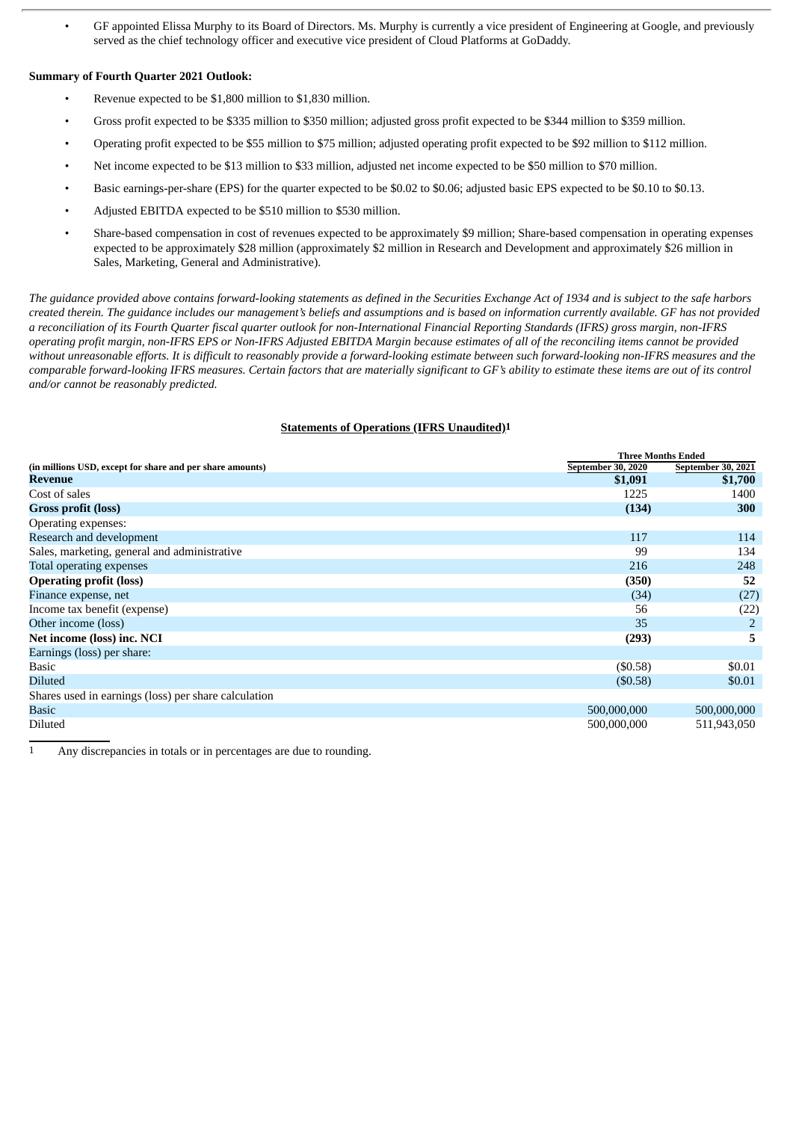• GF appointed Elissa Murphy to its Board of Directors. Ms. Murphy is currently a vice president of Engineering at Google, and previously served as the chief technology officer and executive vice president of Cloud Platforms at GoDaddy.

#### **Summary of Fourth Quarter 2021 Outlook:**

- Revenue expected to be \$1,800 million to \$1,830 million.
- Gross profit expected to be \$335 million to \$350 million; adjusted gross profit expected to be \$344 million to \$359 million.
- Operating profit expected to be \$55 million to \$75 million; adjusted operating profit expected to be \$92 million to \$112 million.
- Net income expected to be \$13 million to \$33 million, adjusted net income expected to be \$50 million to \$70 million.
- Basic earnings-per-share (EPS) for the quarter expected to be \$0.02 to \$0.06; adjusted basic EPS expected to be \$0.10 to \$0.13.
- Adjusted EBITDA expected to be \$510 million to \$530 million.
- Share-based compensation in cost of revenues expected to be approximately \$9 million; Share-based compensation in operating expenses expected to be approximately \$28 million (approximately \$2 million in Research and Development and approximately \$26 million in Sales, Marketing, General and Administrative).

The guidance provided above contains forward-looking statements as defined in the Securities Exchange Act of 1934 and is subject to the safe harbors created therein. The guidance includes our management's beliefs and assumptions and is based on information currently available. GF has not provided a reconciliation of its Fourth Quarter fiscal quarter outlook for non-International Financial Reporting Standards (IFRS) gross margin, non-IFRS operating profit margin, non-IFRS EPS or Non-IFRS Adjusted EBITDA Margin because estimates of all of the reconciling items cannot be provided without unreasonable efforts. It is difficult to reasonably provide a forward-looking estimate between such forward-looking non-IFRS measures and the comparable forward-looking IFRS measures. Certain factors that are materially significant to GF's ability to estimate these items are out of its control *and/or cannot be reasonably predicted.*

#### **Statements of Operations (IFRS Unaudited)1**

|                                                           |                           | <b>Three Months Ended</b> |  |
|-----------------------------------------------------------|---------------------------|---------------------------|--|
| (in millions USD, except for share and per share amounts) | <b>September 30, 2020</b> | September 30, 2021        |  |
| Revenue                                                   | \$1,091                   | \$1,700                   |  |
| Cost of sales                                             | 1225                      | 1400                      |  |
| <b>Gross profit (loss)</b>                                | (134)                     | 300                       |  |
| Operating expenses:                                       |                           |                           |  |
| Research and development                                  | 117                       | 114                       |  |
| Sales, marketing, general and administrative              | 99                        | 134                       |  |
| Total operating expenses                                  | 216                       | 248                       |  |
| <b>Operating profit (loss)</b>                            | (350)                     | 52                        |  |
| Finance expense, net                                      | (34)                      | (27)                      |  |
| Income tax benefit (expense)                              | 56                        | (22)                      |  |
| Other income (loss)                                       | 35                        | 2                         |  |
| Net income (loss) inc. NCI                                | (293)                     | 5                         |  |
| Earnings (loss) per share:                                |                           |                           |  |
| <b>Basic</b>                                              | (\$0.58)                  | \$0.01                    |  |
| <b>Diluted</b>                                            | (\$0.58)                  | \$0.01                    |  |
| Shares used in earnings (loss) per share calculation      |                           |                           |  |
| Basic                                                     | 500,000,000               | 500,000,000               |  |
| Diluted                                                   | 500,000,000               | 511,943,050               |  |

1 Any discrepancies in totals or in percentages are due to rounding.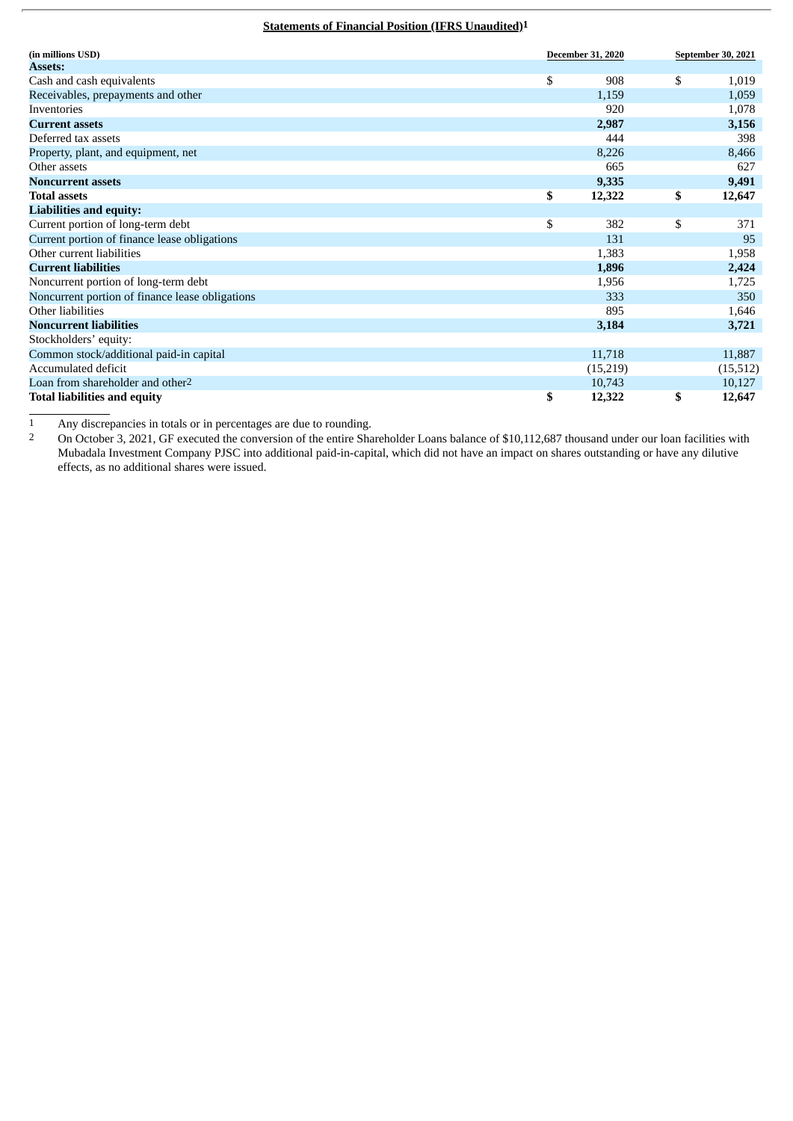#### **Statements of Financial Position (IFRS Unaudited)1**

| (in millions USD)                               | <b>December 31, 2020</b> |    | September 30, 2021 |  |
|-------------------------------------------------|--------------------------|----|--------------------|--|
| <b>Assets:</b>                                  |                          |    |                    |  |
| Cash and cash equivalents                       | \$<br>908                | \$ | 1,019              |  |
| Receivables, prepayments and other              | 1,159                    |    | 1,059              |  |
| Inventories                                     | 920                      |    | 1,078              |  |
| <b>Current assets</b>                           | 2,987                    |    | 3,156              |  |
| Deferred tax assets                             | 444                      |    | 398                |  |
| Property, plant, and equipment, net             | 8,226                    |    | 8,466              |  |
| Other assets                                    | 665                      |    | 627                |  |
| <b>Noncurrent assets</b>                        | 9,335                    |    | 9,491              |  |
| <b>Total assets</b>                             | \$<br>12,322             | \$ | 12,647             |  |
| <b>Liabilities and equity:</b>                  |                          |    |                    |  |
| Current portion of long-term debt               | \$<br>382                | \$ | 371                |  |
| Current portion of finance lease obligations    | 131                      |    | 95                 |  |
| Other current liabilities                       | 1,383                    |    | 1,958              |  |
| <b>Current liabilities</b>                      | 1,896                    |    | 2,424              |  |
| Noncurrent portion of long-term debt            | 1,956                    |    | 1,725              |  |
| Noncurrent portion of finance lease obligations | 333                      |    | 350                |  |
| Other liabilities                               | 895                      |    | 1,646              |  |
| <b>Noncurrent liabilities</b>                   | 3,184                    |    | 3,721              |  |
| Stockholders' equity:                           |                          |    |                    |  |
| Common stock/additional paid-in capital         | 11,718                   |    | 11,887             |  |
| Accumulated deficit                             | (15,219)                 |    | (15, 512)          |  |
| Loan from shareholder and other <sup>2</sup>    | 10,743                   |    | 10,127             |  |
| <b>Total liabilities and equity</b>             | \$<br>12,322             | \$ | 12,647             |  |

1 Any discrepancies in totals or in percentages are due to rounding.<br>2 On October 3, 2021. GE executed the conversion of the entire Sha

2 On October 3, 2021, GF executed the conversion of the entire Shareholder Loans balance of \$10,112,687 thousand under our loan facilities with Mubadala Investment Company PJSC into additional paid-in-capital, which did not have an impact on shares outstanding or have any dilutive effects, as no additional shares were issued.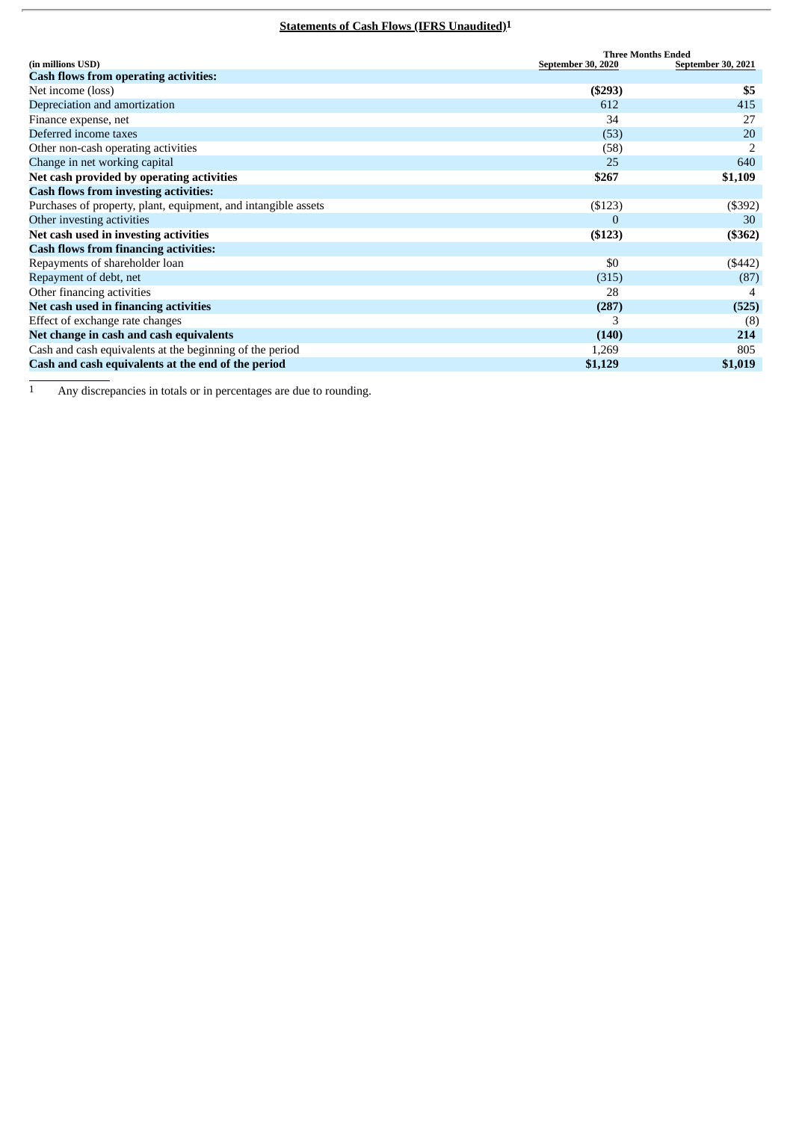# **Statements of Cash Flows (IFRS Unaudited)1**

|                                                                |                    | <b>Three Months Ended</b> |  |  |  |
|----------------------------------------------------------------|--------------------|---------------------------|--|--|--|
| (in millions USD)                                              | September 30, 2020 | September 30, 2021        |  |  |  |
| <b>Cash flows from operating activities:</b>                   |                    |                           |  |  |  |
| Net income (loss)                                              | ( \$293)           | \$5                       |  |  |  |
| Depreciation and amortization                                  | 612                | 415                       |  |  |  |
| Finance expense, net                                           | 34                 | 27                        |  |  |  |
| Deferred income taxes                                          | (53)               | 20                        |  |  |  |
| Other non-cash operating activities                            | (58)               |                           |  |  |  |
| Change in net working capital                                  | 25                 | 640                       |  |  |  |
| Net cash provided by operating activities                      | \$267              | \$1,109                   |  |  |  |
| <b>Cash flows from investing activities:</b>                   |                    |                           |  |  |  |
| Purchases of property, plant, equipment, and intangible assets | ( \$123)           | $($ \$392 $)$             |  |  |  |
| Other investing activities                                     | $\Omega$           | 30                        |  |  |  |
| Net cash used in investing activities                          | ( \$123)           | ( \$362)                  |  |  |  |
| <b>Cash flows from financing activities:</b>                   |                    |                           |  |  |  |
| Repayments of shareholder loan                                 | \$0                | $(\$442)$                 |  |  |  |
| Repayment of debt, net                                         | (315)              | (87)                      |  |  |  |
| Other financing activities                                     | 28                 |                           |  |  |  |
| Net cash used in financing activities                          | (287)              | (525)                     |  |  |  |
| Effect of exchange rate changes                                | 3                  | (8)                       |  |  |  |
| Net change in cash and cash equivalents                        | (140)              | 214                       |  |  |  |
| Cash and cash equivalents at the beginning of the period       | 1,269              | 805                       |  |  |  |
| Cash and cash equivalents at the end of the period             | \$1,129            | \$1,019                   |  |  |  |

<sup>1</sup> Any discrepancies in totals or in percentages are due to rounding.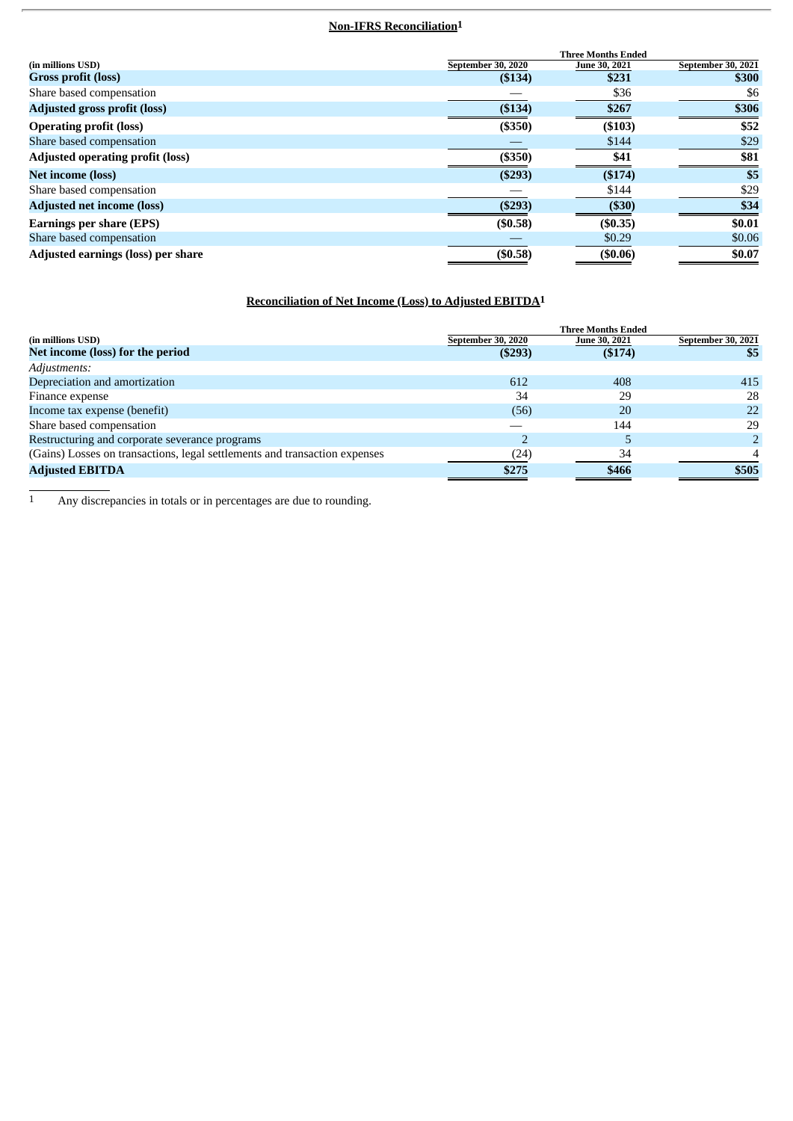# **Non-IFRS Reconciliation1**

|                                         |                    | <b>Three Months Ended</b> |                           |
|-----------------------------------------|--------------------|---------------------------|---------------------------|
| (in millions USD)                       | September 30, 2020 | June 30, 2021             | <b>September 30, 2021</b> |
| Gross profit (loss)                     | (\$134)            | \$231                     | \$300                     |
| Share based compensation                |                    | \$36                      | \$6                       |
| <b>Adjusted gross profit (loss)</b>     | (\$134)            | \$267                     | \$306                     |
| <b>Operating profit (loss)</b>          | (\$350)            | (\$103)                   | \$52                      |
| Share based compensation                |                    | \$144                     | \$29                      |
| <b>Adjusted operating profit (loss)</b> | (\$350)            | \$41                      | \$81                      |
| <b>Net income (loss)</b>                | (\$293)            | (\$174)                   | \$5                       |
| Share based compensation                |                    | \$144                     | \$29                      |
| <b>Adjusted net income (loss)</b>       | (\$293)            | ( \$30)                   | \$34                      |
| <b>Earnings per share (EPS)</b>         | (\$0.58)           | (\$0.35)                  | \$0.01                    |
| Share based compensation                |                    | \$0.29                    | \$0.06                    |
| Adjusted earnings (loss) per share      | (\$0.58)           | (\$0.06)                  | \$0.07                    |

## **Reconciliation of Net Income (Loss) to Adjusted EBITDA1**

|                                                                            |                    | <b>Three Months Ended</b> |                           |
|----------------------------------------------------------------------------|--------------------|---------------------------|---------------------------|
| (in millions USD)                                                          | September 30, 2020 | June 30, 2021             | <b>September 30, 2021</b> |
| Net income (loss) for the period                                           | (\$293)            | ( \$174)                  | \$5                       |
| Adjustments:                                                               |                    |                           |                           |
| Depreciation and amortization                                              | 612                | 408                       | 415                       |
| Finance expense                                                            | 34                 | 29                        | 28                        |
| Income tax expense (benefit)                                               | (56)               | 20                        | 22                        |
| Share based compensation                                                   |                    | 144                       | 29                        |
| Restructuring and corporate severance programs                             |                    |                           |                           |
| (Gains) Losses on transactions, legal settlements and transaction expenses | (24)               | 34                        |                           |
| <b>Adjusted EBITDA</b>                                                     | \$275              | \$466                     | \$505                     |

<sup>1</sup> Any discrepancies in totals or in percentages are due to rounding.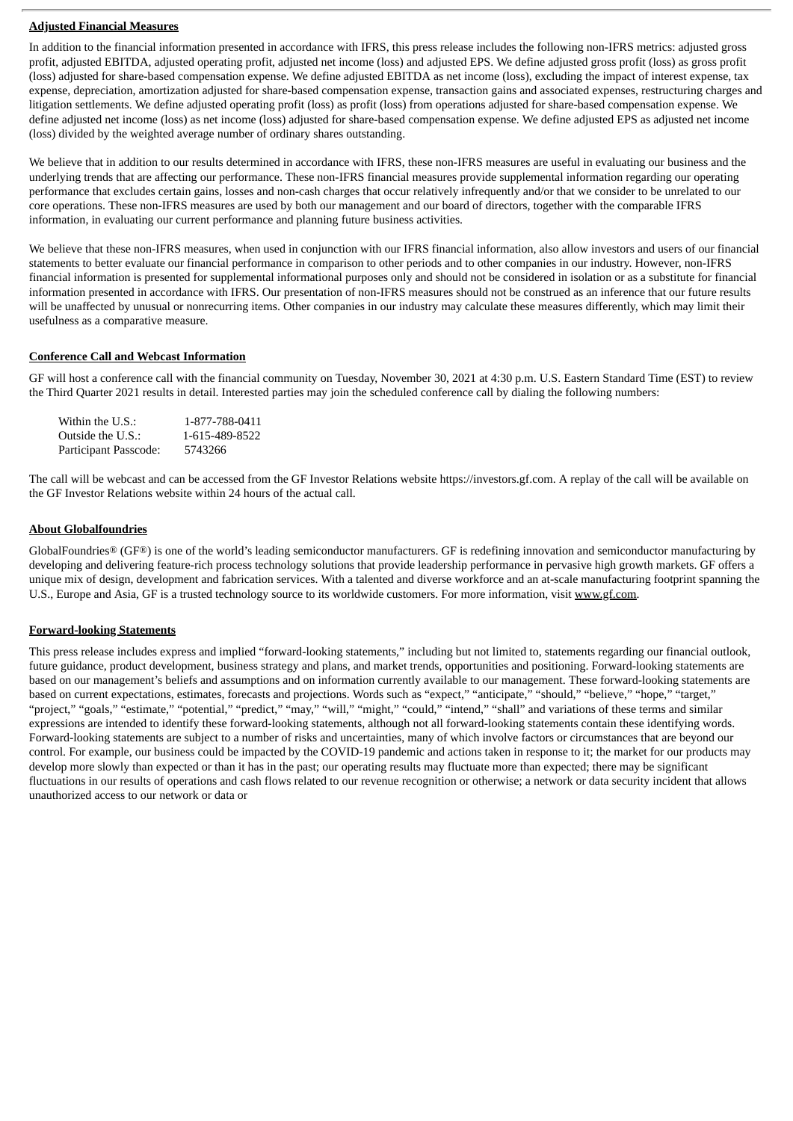#### **Adjusted Financial Measures**

In addition to the financial information presented in accordance with IFRS, this press release includes the following non-IFRS metrics: adjusted gross profit, adjusted EBITDA, adjusted operating profit, adjusted net income (loss) and adjusted EPS. We define adjusted gross profit (loss) as gross profit (loss) adjusted for share-based compensation expense. We define adjusted EBITDA as net income (loss), excluding the impact of interest expense, tax expense, depreciation, amortization adjusted for share-based compensation expense, transaction gains and associated expenses, restructuring charges and litigation settlements. We define adjusted operating profit (loss) as profit (loss) from operations adjusted for share-based compensation expense. We define adjusted net income (loss) as net income (loss) adjusted for share-based compensation expense. We define adjusted EPS as adjusted net income (loss) divided by the weighted average number of ordinary shares outstanding.

We believe that in addition to our results determined in accordance with IFRS, these non-IFRS measures are useful in evaluating our business and the underlying trends that are affecting our performance. These non-IFRS financial measures provide supplemental information regarding our operating performance that excludes certain gains, losses and non-cash charges that occur relatively infrequently and/or that we consider to be unrelated to our core operations. These non-IFRS measures are used by both our management and our board of directors, together with the comparable IFRS information, in evaluating our current performance and planning future business activities.

We believe that these non-IFRS measures, when used in conjunction with our IFRS financial information, also allow investors and users of our financial statements to better evaluate our financial performance in comparison to other periods and to other companies in our industry. However, non-IFRS financial information is presented for supplemental informational purposes only and should not be considered in isolation or as a substitute for financial information presented in accordance with IFRS. Our presentation of non-IFRS measures should not be construed as an inference that our future results will be unaffected by unusual or nonrecurring items. Other companies in our industry may calculate these measures differently, which may limit their usefulness as a comparative measure.

#### **Conference Call and Webcast Information**

GF will host a conference call with the financial community on Tuesday, November 30, 2021 at 4:30 p.m. U.S. Eastern Standard Time (EST) to review the Third Quarter 2021 results in detail. Interested parties may join the scheduled conference call by dialing the following numbers:

| Within the U.S.:      | 1-877-788-0411 |
|-----------------------|----------------|
| Outside the U.S.:     | 1-615-489-8522 |
| Participant Passcode: | 5743266        |

The call will be webcast and can be accessed from the GF Investor Relations website https://investors.gf.com. A replay of the call will be available on the GF Investor Relations website within 24 hours of the actual call.

#### **About Globalfoundries**

GlobalFoundries<sup>®</sup> (GF®) is one of the world's leading semiconductor manufacturers. GF is redefining innovation and semiconductor manufacturing by developing and delivering feature-rich process technology solutions that provide leadership performance in pervasive high growth markets. GF offers a unique mix of design, development and fabrication services. With a talented and diverse workforce and an at-scale manufacturing footprint spanning the U.S., Europe and Asia, GF is a trusted technology source to its worldwide customers. For more information, visit www.gf.com.

#### **Forward-looking Statements**

This press release includes express and implied "forward-looking statements," including but not limited to, statements regarding our financial outlook, future guidance, product development, business strategy and plans, and market trends, opportunities and positioning. Forward-looking statements are based on our management's beliefs and assumptions and on information currently available to our management. These forward-looking statements are based on current expectations, estimates, forecasts and projections. Words such as "expect," "anticipate," "should," "believe," "hope," "target," "project," "goals," "estimate," "potential," "predict," "may," "will," "might," "could," "intend," "shall" and variations of these terms and similar expressions are intended to identify these forward-looking statements, although not all forward-looking statements contain these identifying words. Forward-looking statements are subject to a number of risks and uncertainties, many of which involve factors or circumstances that are beyond our control. For example, our business could be impacted by the COVID-19 pandemic and actions taken in response to it; the market for our products may develop more slowly than expected or than it has in the past; our operating results may fluctuate more than expected; there may be significant fluctuations in our results of operations and cash flows related to our revenue recognition or otherwise; a network or data security incident that allows unauthorized access to our network or data or